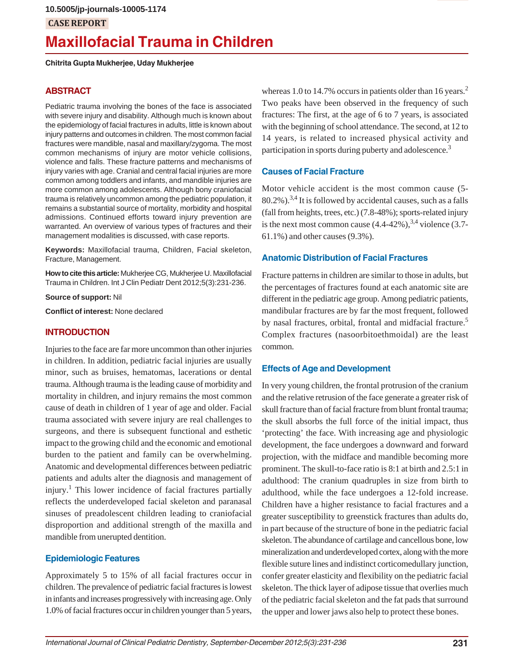## **CASE REPORT**

# **Maxillofacial Trauma in Children**

**Chitrita Gupta Mukherjee, Uday Mukherjee**

#### **ABSTRACT**

Pediatric trauma involving the bones of the face is associated with severe injury and disability. Although much is known about the epidemiology of facial fractures in adults, little is known about injury patterns and outcomes in children. The most common facial fractures were mandible, nasal and maxillary/zygoma. The most common mechanisms of injury are motor vehicle collisions, violence and falls. These fracture patterns and mechanisms of injury varies with age. Cranial and central facial injuries are more common among toddlers and infants, and mandible injuries are more common among adolescents. Although bony craniofacial trauma is relatively uncommon among the pediatric population, it remains a substantial source of mortality, morbidity and hospital admissions. Continued efforts toward injury prevention are warranted. An overview of various types of fractures and their management modalities is discussed, with case reports.

**Keywords:** Maxillofacial trauma, Children, Facial skeleton, Fracture, Management.

**How to cite this article:** Mukherjee CG, Mukherjee U. Maxillofacial Trauma in Children. Int J Clin Pediatr Dent 2012;5(3):231-236.

**Source of support:** Nil

**Conflict of interest:** None declared

#### **INTRODUCTION**

Injuries to the face are far more uncommon than other injuries in children. In addition, pediatric facial injuries are usually minor, such as bruises, hematomas, lacerations or dental trauma. Although trauma is the leading cause of morbidity and mortality in children, and injury remains the most common cause of death in children of 1 year of age and older. Facial trauma associated with severe injury are real challenges to surgeons, and there is subsequent functional and esthetic impact to the growing child and the economic and emotional burden to the patient and family can be overwhelming. Anatomic and developmental differences between pediatric patients and adults alter the diagnosis and management of injury.<sup>1</sup> This lower incidence of facial fractures partially reflects the underdeveloped facial skeleton and paranasal sinuses of preadolescent children leading to craniofacial disproportion and additional strength of the maxilla and mandible from unerupted dentition.

#### **Epidemiologic Features**

Approximately 5 to 15% of all facial fractures occur in children. The prevalence of pediatric facial fractures is lowest in infants and increases progressively with increasing age. Only 1.0% of facial fractures occur in children younger than 5 years,

whereas 1.0 to 14.7% occurs in patients older than 16 years.<sup>2</sup> Two peaks have been observed in the frequency of such fractures: The first, at the age of 6 to 7 years, is associated with the beginning of school attendance. The second, at 12 to 14 years, is related to increased physical activity and participation in sports during puberty and adolescence.<sup>3</sup>

#### **Causes of Facial Fracture**

Motor vehicle accident is the most common cause (5-  $80.2\%$ ).<sup>3,4</sup> It is followed by accidental causes, such as a falls (fall from heights, trees, etc.) (7.8-48%); sports-related injury is the next most common cause  $(4.4-42\%)$ ,  $^{3,4}$  violence  $(3.7-$ 61.1%) and other causes (9.3%).

#### **Anatomic Distribution of Facial Fractures**

Fracture patterns in children are similar to those in adults, but the percentages of fractures found at each anatomic site are different in the pediatric age group. Among pediatric patients, mandibular fractures are by far the most frequent, followed by nasal fractures, orbital, frontal and midfacial fracture.<sup>5</sup> Complex fractures (nasoorbitoethmoidal) are the least common.

#### **Effects of Age and Development**

In very young children, the frontal protrusion of the cranium and the relative retrusion of the face generate a greater risk of skull fracture than of facial fracture from blunt frontal trauma; the skull absorbs the full force of the initial impact, thus 'protecting' the face. With increasing age and physiologic development, the face undergoes a downward and forward projection, with the midface and mandible becoming more prominent. The skull-to-face ratio is 8:1 at birth and 2.5:1 in adulthood: The cranium quadruples in size from birth to adulthood, while the face undergoes a 12-fold increase. Children have a higher resistance to facial fractures and a greater susceptibility to greenstick fractures than adults do, in part because of the structure of bone in the pediatric facial skeleton. The abundance of cartilage and cancellous bone, low mineralization and underdeveloped cortex, along with the more flexible suture lines and indistinct corticomedullary junction, confer greater elasticity and flexibility on the pediatric facial skeleton. The thick layer of adipose tissue that overlies much of the pediatric facial skeleton and the fat pads that surround the upper and lower jaws also help to protect these bones.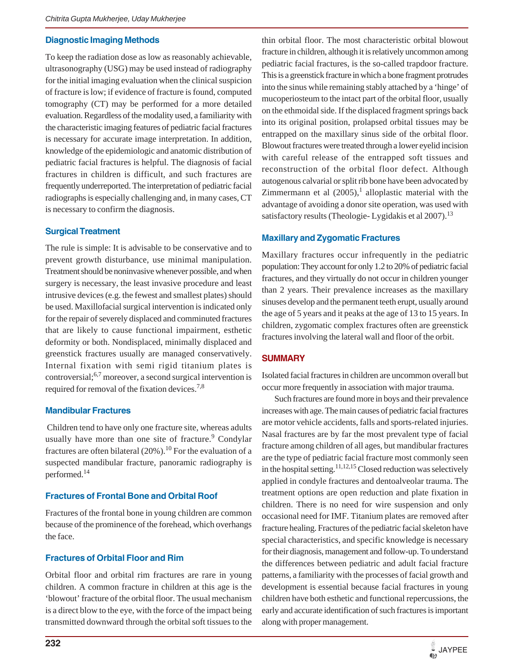#### **Diagnostic Imaging Methods**

To keep the radiation dose as low as reasonably achievable, ultrasonography (USG) may be used instead of radiography for the initial imaging evaluation when the clinical suspicion of fracture is low; if evidence of fracture is found, computed tomography (CT) may be performed for a more detailed evaluation. Regardless of the modality used, a familiarity with the characteristic imaging features of pediatric facial fractures is necessary for accurate image interpretation. In addition, knowledge of the epidemiologic and anatomic distribution of pediatric facial fractures is helpful. The diagnosis of facial fractures in children is difficult, and such fractures are frequently underreported. The interpretation of pediatric facial radiographs is especially challenging and, in many cases, CT is necessary to confirm the diagnosis.

#### **Surgical Treatment**

The rule is simple: It is advisable to be conservative and to prevent growth disturbance, use minimal manipulation. Treatment should be noninvasive whenever possible, and when surgery is necessary, the least invasive procedure and least intrusive devices (e.g. the fewest and smallest plates) should be used. Maxillofacial surgical intervention is indicated only for the repair of severely displaced and comminuted fractures that are likely to cause functional impairment, esthetic deformity or both. Nondisplaced, minimally displaced and greenstick fractures usually are managed conservatively. Internal fixation with semi rigid titanium plates is controversial;6,7 moreover, a second surgical intervention is required for removal of the fixation devices.<sup>7,8</sup>

#### **Mandibular Fractures**

 Children tend to have only one fracture site, whereas adults usually have more than one site of fracture.<sup>9</sup> Condylar fractures are often bilateral  $(20\%)$ .<sup>10</sup> For the evaluation of a suspected mandibular fracture, panoramic radiography is performed.14

#### **Fractures of Frontal Bone and Orbital Roof**

Fractures of the frontal bone in young children are common because of the prominence of the forehead, which overhangs the face.

#### **Fractures of Orbital Floor and Rim**

Orbital floor and orbital rim fractures are rare in young children. A common fracture in children at this age is the 'blowout' fracture of the orbital floor. The usual mechanism is a direct blow to the eye, with the force of the impact being transmitted downward through the orbital soft tissues to the

thin orbital floor. The most characteristic orbital blowout fracture in children, although it is relatively uncommon among pediatric facial fractures, is the so-called trapdoor fracture. This is a greenstick fracture in which a bone fragment protrudes into the sinus while remaining stably attached by a 'hinge' of mucoperiosteum to the intact part of the orbital floor, usually on the ethmoidal side. If the displaced fragment springs back into its original position, prolapsed orbital tissues may be entrapped on the maxillary sinus side of the orbital floor. Blowout fractures were treated through a lower eyelid incision with careful release of the entrapped soft tissues and reconstruction of the orbital floor defect. Although autogenous calvarial or split rib bone have been advocated by Zimmermann et al  $(2005)$ ,<sup>1</sup> alloplastic material with the advantage of avoiding a donor site operation, was used with satisfactory results (Theologie- Lygidakis et al 2007).<sup>13</sup>

#### **Maxillary and Zygomatic Fractures**

Maxillary fractures occur infrequently in the pediatric population: They account for only 1.2 to 20% of pediatric facial fractures, and they virtually do not occur in children younger than 2 years. Their prevalence increases as the maxillary sinuses develop and the permanent teeth erupt, usually around the age of 5 years and it peaks at the age of 13 to 15 years. In children, zygomatic complex fractures often are greenstick fractures involving the lateral wall and floor of the orbit.

#### **SUMMARY**

Isolated facial fractures in children are uncommon overall but occur more frequently in association with major trauma.

Such fractures are found more in boys and their prevalence increases with age. The main causes of pediatric facial fractures are motor vehicle accidents, falls and sports-related injuries. Nasal fractures are by far the most prevalent type of facial fracture among children of all ages, but mandibular fractures are the type of pediatric facial fracture most commonly seen in the hospital setting.<sup>11,12,15</sup> Closed reduction was selectively applied in condyle fractures and dentoalveolar trauma. The treatment options are open reduction and plate fixation in children. There is no need for wire suspension and only occasional need for IMF. Titanium plates are removed after fracture healing. Fractures of the pediatric facial skeleton have special characteristics, and specific knowledge is necessary for their diagnosis, management and follow-up. To understand the differences between pediatric and adult facial fracture patterns, a familiarity with the processes of facial growth and development is essential because facial fractures in young children have both esthetic and functional repercussions, the early and accurate identification of such fractures is important along with proper management.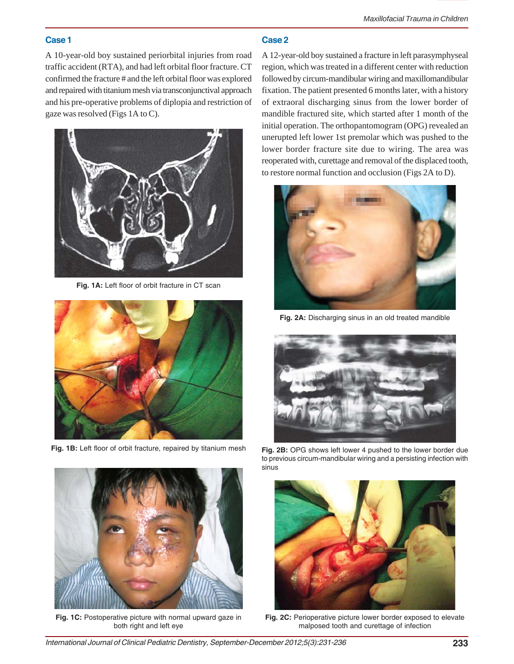# **Case 1**

A 10-year-old boy sustained periorbital injuries from road traffic accident (RTA), and had left orbital floor fracture. CT confirmed the fracture # and the left orbital floor was explored and repaired with titanium mesh via transconjunctival approach and his pre-operative problems of diplopia and restriction of gaze was resolved (Figs 1A to C).



**Fig. 1A:** Left floor of orbit fracture in CT scan



**Fig. 1B:** Left floor of orbit fracture, repaired by titanium mesh



**Fig. 1C:** Postoperative picture with normal upward gaze in both right and left eye

# **Case 2**

A 12-year-old boy sustained a fracture in left parasymphyseal region, which was treated in a different center with reduction followed by circum-mandibular wiring and maxillomandibular fixation. The patient presented 6 months later, with a history of extraoral discharging sinus from the lower border of mandible fractured site, which started after 1 month of the initial operation. The orthopantomogram (OPG) revealed an unerupted left lower 1st premolar which was pushed to the lower border fracture site due to wiring. The area was reoperated with, curettage and removal of the displaced tooth, to restore normal function and occlusion (Figs 2A to D).



**Fig. 2A:** Discharging sinus in an old treated mandible



**Fig. 2B:** OPG shows left lower 4 pushed to the lower border due to previous circum-mandibular wiring and a persisting infection with sinus



**Fig. 2C:** Perioperative picture lower border exposed to elevate malposed tooth and curettage of infection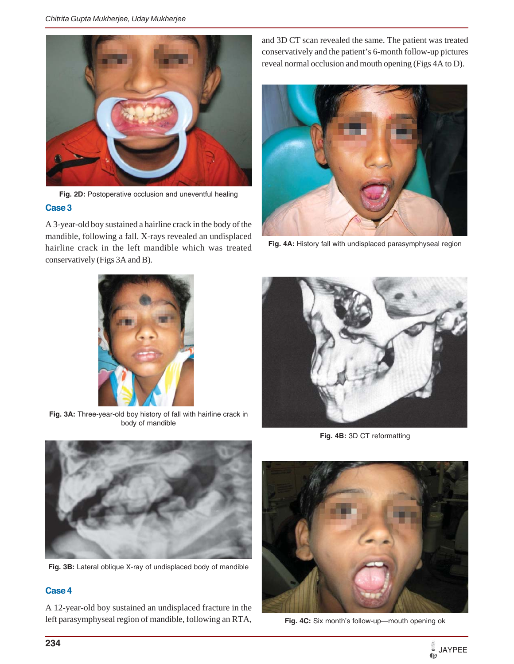

Fig. 2D: Postoperative occlusion and uneventful healing **Case 3**

A 3-year-old boy sustained a hairline crack in the body of the mandible, following a fall. X-rays revealed an undisplaced hairline crack in the left mandible which was treated conservatively (Figs 3A and B).

and 3D CT scan revealed the same. The patient was treated conservatively and the patient's 6-month follow-up pictures reveal normal occlusion and mouth opening (Figs 4A to D).



**Fig. 4A:** History fall with undisplaced parasymphyseal region



**Fig. 3A:** Three-year-old boy history of fall with hairline crack in body of mandible



**Fig. 4B:** 3D CT reformatting



**Fig. 3B:** Lateral oblique X-ray of undisplaced body of mandible

## **Case 4**

A 12-year-old boy sustained an undisplaced fracture in the left parasymphyseal region of mandible, following an RTA,



**Fig. 4C:** Six month's follow-up—mouth opening ok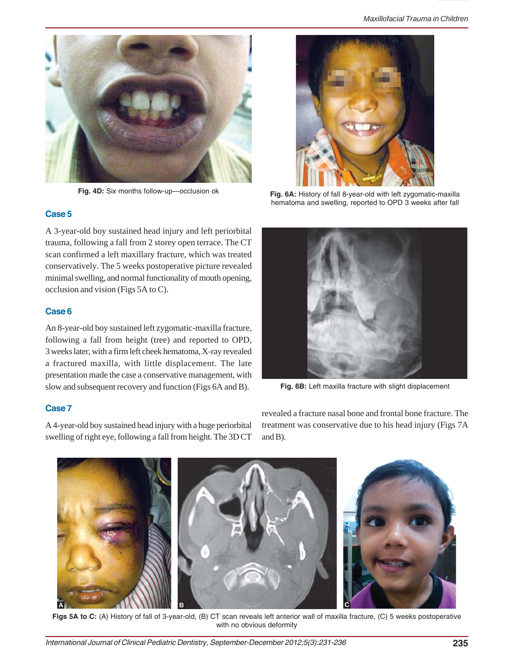

**Fig. 4D:** Six months follow-up—occlusion ok



**Fig. 6A:** History of fall 8-year-old with left zygomatic-maxilla hematoma and swelling, reported to OPD 3 weeks after fall

#### **Case 5**

A 3-year-old boy sustained head injury and left periorbital trauma, following a fall from 2 storey open terrace. The CT scan confirmed a left maxillary fracture, which was treated conservatively. The 5 weeks postoperative picture revealed minimal swelling, and normal functionality of mouth opening, occlusion and vision (Figs 5A to C).

#### **Case 6**

An 8-year-old boy sustained left zygomatic-maxilla fracture, following a fall from height (tree) and reported to OPD, 3 weeks later, with a firm left cheek hematoma, X-ray revealed a fractured maxilla, with little displacement. The late presentation made the case a conservative management, with slow and subsequent recovery and function (Figs 6A and B).

#### **Case 7**

A 4-year-old boy sustained head injury with a huge periorbital swelling of right eye, following a fall from height. The 3D CT



**Fig. 6B:** Left maxilla fracture with slight displacement

revealed a fracture nasal bone and frontal bone fracture. The treatment was conservative due to his head injury (Figs 7A and B).



**Figs 5A to C:** (A) History of fall of 3-year-old, (B) CT scan reveals left anterior wall of maxilla fracture, (C) 5 weeks postoperative with no obvious deformity